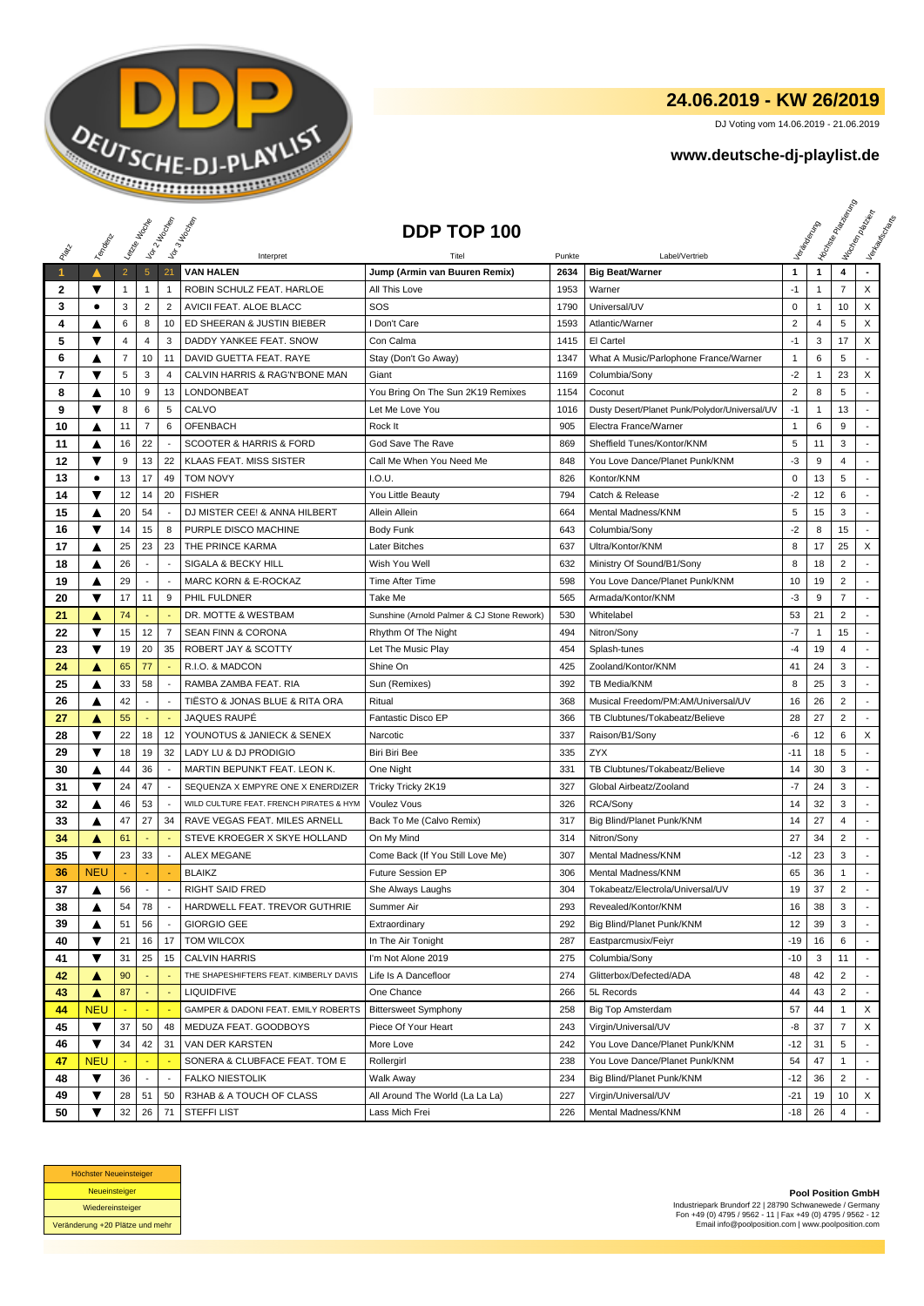

## **24.06.2019 - KW 26/2019**

DJ Voting vom 14.06.2019 - 21.06.2019

## **www.deutsche-dj-playlist.de**

|      |                         | Leizie Hoche   |                | Vor 2 Machen             | Vor 3 Incolas                           | DDP TOP 100                                |        |                                               |                         |              | <b>Licitorial Riversidens</b> | I tochen palaban<br>Verkeys Right |
|------|-------------------------|----------------|----------------|--------------------------|-----------------------------------------|--------------------------------------------|--------|-----------------------------------------------|-------------------------|--------------|-------------------------------|-----------------------------------|
|      | Templative              |                |                |                          |                                         |                                            |        |                                               |                         |              |                               |                                   |
| PRIM |                         |                |                |                          | Interpret                               |                                            | Punkte | Label/Vertrieb                                |                         |              |                               |                                   |
| 1    | ▲                       | $\overline{2}$ | $\overline{5}$ | 21                       | <b>VAN HALEN</b>                        | Jump (Armin van Buuren Remix)              | 2634   | <b>Big Beat/Warner</b>                        | $\mathbf{1}$            | $\mathbf{1}$ | 4                             |                                   |
| 2    | ▼                       | 1              | 1              | 1                        | ROBIN SCHULZ FEAT. HARLOE               | All This Love                              | 1953   | Warner                                        | $-1$                    | $\mathbf{1}$ | $\overline{7}$                | X                                 |
| 3    | ٠                       | 3              | $\sqrt{2}$     | $\overline{2}$           | AVICII FEAT. ALOE BLACC                 | SOS                                        | 1790   | Universal/UV                                  | $\mathsf 0$             | 1            | 10                            | X                                 |
| 4    |                         | 6              | 8              | 10                       | ED SHEERAN & JUSTIN BIEBER              | I Don't Care                               | 1593   | Atlantic/Warner                               | $\overline{\mathbf{c}}$ | 4            | 5                             | X                                 |
| 5    | ▼                       | 4              | $\overline{4}$ | 3                        | DADDY YANKEE FEAT. SNOW                 | Con Calma                                  | 1415   | El Cartel                                     | $-1$                    | 3            | 17                            | X                                 |
| 6    | A                       | 7              | 10             | 11                       | DAVID GUETTA FEAT. RAYE                 | Stay (Don't Go Away)                       | 1347   | What A Music/Parlophone France/Warner         | $\mathbf{1}$            | 6            | 5                             |                                   |
| 7    | ▼                       | 5              | 3              | 4                        | CALVIN HARRIS & RAG'N'BONE MAN          | Giant                                      | 1169   | Columbia/Sony                                 | $-2$                    | $\mathbf{1}$ | 23                            | X                                 |
| 8    | ▲                       | 10             | 9              | 13                       | LONDONBEAT                              | You Bring On The Sun 2K19 Remixes          | 1154   | Coconut                                       | $\overline{2}$          | 8            | 5                             |                                   |
| 9    | ▼                       | 8              | 6              | 5                        | CALVO                                   | Let Me Love You                            | 1016   | Dusty Desert/Planet Punk/Polydor/Universal/UV | $-1$                    | $\mathbf{1}$ | 13                            |                                   |
| 10   | ▲                       | 11             | $\overline{7}$ | 6                        | <b>OFENBACH</b>                         | Rock It                                    | 905    | Electra France/Warner                         | $\mathbf{1}$            | 6            | 9                             |                                   |
| 11   | ▲                       | 16             | 22             | $\overline{\phantom{a}}$ | SCOOTER & HARRIS & FORD                 | God Save The Rave                          | 869    | Sheffield Tunes/Kontor/KNM                    | 5                       | 11           | 3                             |                                   |
| 12   | ▼                       | 9              | 13             | 22                       | KLAAS FEAT. MISS SISTER                 | Call Me When You Need Me                   | 848    | You Love Dance/Planet Punk/KNM                | -3                      | 9            | 4                             |                                   |
| 13   | $\bullet$               | 13             | 17             | 49                       | <b>TOM NOVY</b>                         | I.O.U.                                     | 826    | Kontor/KNM                                    | 0                       | 13           | 5                             |                                   |
| 14   | $\overline{\textbf{v}}$ | 12             | 14             | 20                       | <b>FISHER</b>                           | You Little Beauty                          | 794    | Catch & Release                               | $-2$                    | 12           | 6                             |                                   |
| 15   | ▲                       | 20             | 54             |                          | DJ MISTER CEE! & ANNA HILBERT           | Allein Allein                              | 664    | Mental Madness/KNM                            | 5                       | 15           | 3                             | $\overline{a}$                    |
| 16   | ▼                       | 14             | 15             | 8                        | PURPLE DISCO MACHINE                    | Body Funk                                  | 643    | Columbia/Sony                                 | $-2$                    | 8            | 15                            |                                   |
| 17   | Δ                       | 25             | 23             | 23                       | THE PRINCE KARMA                        | Later Bitches                              | 637    | Ultra/Kontor/KNM                              | 8                       | 17           | 25                            | X                                 |
| 18   | ▲                       | 26             | ٠              |                          | SIGALA & BECKY HILL                     | Wish You Well                              | 632    | Ministry Of Sound/B1/Sony                     | 8                       | 18           | $\overline{2}$                |                                   |
| 19   | ▲                       | 29             |                |                          | <b>MARC KORN &amp; E-ROCKAZ</b>         | Time After Time                            | 598    | You Love Dance/Planet Punk/KNM                | 10                      | 19           | $\overline{2}$                |                                   |
| 20   | ▼                       | 17             | 11             | 9                        | PHIL FULDNER                            | Take Me                                    | 565    | Armada/Kontor/KNM                             | $-3$                    | 9            | $\overline{7}$                | ÷,                                |
| 21   | ▲                       | 74             | ٠              |                          | DR. MOTTE & WESTBAM                     | Sunshine (Arnold Palmer & CJ Stone Rework) | 530    | Whitelabel                                    | 53                      | 21           | $\overline{2}$                |                                   |
| 22   | ▼                       | 15             | 12             | 7                        | <b>SEAN FINN &amp; CORONA</b>           | Rhythm Of The Night                        | 494    | Nitron/Sony                                   | $-7$                    | $\mathbf 1$  | 15                            |                                   |
| 23   | ▼                       | 19             | 20             | 35                       | ROBERT JAY & SCOTTY                     | Let The Music Play                         | 454    | Splash-tunes                                  | $-4$                    | 19           | 4                             |                                   |
| 24   | Α                       | 65             | 77             |                          | R.I.O. & MADCON                         | Shine On                                   | 425    | Zooland/Kontor/KNM                            | 41                      | 24           | 3                             |                                   |
| 25   | ▲                       | 33             | 58             |                          | RAMBA ZAMBA FEAT. RIA                   | Sun (Remixes)                              | 392    | TB Media/KNM                                  | 8                       | 25           | 3                             |                                   |
| 26   | ▲                       | 42             |                |                          | TIËSTO & JONAS BLUE & RITA ORA          | Ritual                                     | 368    | Musical Freedom/PM:AM/Universal/UV            | 16                      | 26           | $\overline{2}$                |                                   |
| 27   | ▲                       | 55             | ÷              |                          | JAQUES RAUPÉ                            | Fantastic Disco EP                         | 366    | TB Clubtunes/Tokabeatz/Believe                | 28                      | 27           | $\overline{2}$                | $\blacksquare$                    |
| 28   | ▼                       | 22             | 18             | 12                       | YOUNOTUS & JANIECK & SENEX              | Narcotic                                   | 337    | Raison/B1/Sony                                | -6                      | 12           | 6                             | X                                 |
| 29   | ▼                       | 18             | 19             | 32                       | LADY LU & DJ PRODIGIO                   | Biri Biri Bee                              | 335    | ZYX                                           | -11                     | 18           | 5                             |                                   |
| 30   |                         | 44             | 36             |                          | MARTIN BEPUNKT FEAT. LEON K.            | One Night                                  | 331    | TB Clubtunes/Tokabeatz/Believe                | 14                      | 30           | 3                             |                                   |
| 31   | ▼                       | 24             | 47             |                          | SEQUENZA X EMPYRE ONE X ENERDIZER       | Tricky Tricky 2K19                         | 327    | Global Airbeatz/Zooland                       | -7                      | 24           | 3                             |                                   |
| 32   | ▲                       | 46             | 53             |                          | WILD CULTURE FEAT. FRENCH PIRATES & HYM | Voulez Vous                                | 326    | RCA/Sony                                      | 14                      | 32           | 3                             |                                   |
| 33   | ▲                       | 47             | 27             | 34                       | RAVE VEGAS FEAT. MILES ARNELL           | Back To Me (Calvo Remix)                   | 317    | Big Blind/Planet Punk/KNM                     | 14                      | 27           | $\overline{4}$                |                                   |
| 34   | ▲                       | 61             |                |                          | STEVE KROEGER X SKYE HOLLAND            | On My Mind                                 | 314    | Nitron/Sony                                   | 27                      | 34           | $\overline{2}$                | $\overline{a}$                    |
| 35   | ▼                       | 23             | 33             |                          | <b>ALEX MEGANE</b>                      | Come Back (If You Still Love Me)           | 307    | Mental Madness/KNM                            | $-12$                   | 23           | 3                             |                                   |
| 36   | <b>NEU</b>              |                |                |                          | <b>BLAIKZ</b>                           | <b>Future Session EP</b>                   | 306    | Mental Madness/KNM                            | 65                      | 36           | $\mathbf{1}$                  |                                   |
| 37   | ▲                       | 56             | $\sim$         | $\sim$                   | <b>RIGHT SAID FRED</b>                  | She Always Laughs                          | 304    | Tokabeatz/Electrola/Universal/UV              | 19                      | 37           | $\overline{2}$                |                                   |
| 38   | ▲                       | 54             | 78             |                          | HARDWELL FEAT. TREVOR GUTHRIE           | Summer Air                                 | 293    | Revealed/Kontor/KNM                           | 16                      | 38           | 3                             |                                   |
| 39   | ▲                       | 51             | 56             |                          | <b>GIORGIO GEE</b>                      | Extraordinary                              | 292    | Big Blind/Planet Punk/KNM                     | 12                      | 39           | 3                             |                                   |
| 40   | ▼                       | 21             | 16             | 17                       | TOM WILCOX                              | In The Air Tonight                         | 287    | Eastparcmusix/Feiyr                           | $-19$                   | 16           | 6                             |                                   |
| 41   | ▼                       | 31             | 25             | 15                       | <b>CALVIN HARRIS</b>                    | I'm Not Alone 2019                         | 275    | Columbia/Sony                                 | $-10$                   | 3            | 11                            |                                   |
| 42   | ▲                       | 90             |                |                          | THE SHAPESHIFTERS FEAT. KIMBERLY DAVIS  | Life Is A Dancefloor                       | 274    | Glitterbox/Defected/ADA                       | 48                      | 42           | 2                             |                                   |
| 43   | ▲                       | 87             |                |                          | <b>LIQUIDFIVE</b>                       | One Chance                                 | 266    | 5L Records                                    | 44                      | 43           | 2                             |                                   |
| 44   | <b>NEU</b>              |                |                |                          | GAMPER & DADONI FEAT. EMILY ROBERTS     | <b>Bittersweet Symphony</b>                | 258    | Big Top Amsterdam                             | 57                      | 44           | 1                             | X                                 |
| 45   | ▼                       | 37             | 50             | 48                       | MEDUZA FEAT. GOODBOYS                   | Piece Of Your Heart                        | 243    | Virgin/Universal/UV                           | -8                      | 37           | $\overline{7}$                | X                                 |
| 46   | ▼                       | 34             | 42             | 31                       | VAN DER KARSTEN                         | More Love                                  | 242    | You Love Dance/Planet Punk/KNM                | -12                     | 31           | 5                             |                                   |
| 47   | <b>NEU</b>              |                |                |                          | SONERA & CLUBFACE FEAT. TOM E           | Rollergirl                                 | 238    | You Love Dance/Planet Punk/KNM                | 54                      | 47           | 1                             |                                   |
| 48   | ▼                       | 36             |                |                          | <b>FALKO NIESTOLIK</b>                  | Walk Away                                  | 234    | Big Blind/Planet Punk/KNM                     | -12                     | 36           | 2                             |                                   |
| 49   | ▼                       | 28             | 51             | 50                       | R3HAB & A TOUCH OF CLASS                | All Around The World (La La La)            | 227    | Virgin/Universal/UV                           | $-21$                   | 19           | 10                            | Χ                                 |
| 50   | ▼                       | 32             | 26             |                          | 71 STEFFILIST                           | Lass Mich Frei                             | 226    | Mental Madness/KNM                            | $-18$                   | 26           | 4                             |                                   |



**Pool Position GmbH** Industriepark Brundorf 22 | 28790 Schwanewede / Germany Fon +49 (0) 4795 / 9562 - 11 | Fax +49 (0) 4795 / 9562 - 12 Email info@poolposition.com | www.poolposition.com